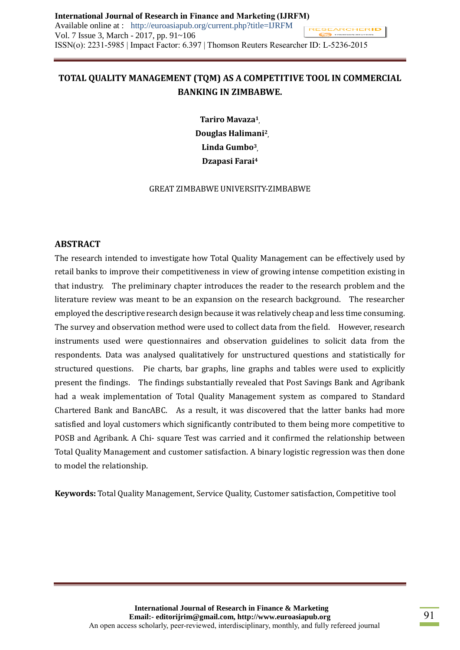# **TOTAL QUALITY MANAGEMENT (TQM) AS A COMPETITIVE TOOL IN COMMERCIAL BANKING IN ZIMBABWE.**

**Tariro Mavaza<sup>1</sup> , Douglas Halimani<sup>2</sup> , Linda Gumbo<sup>3</sup> , Dzapasi Farai<sup>4</sup>**

GREAT ZIMBABWE UNIVERSITY-ZIMBABWE

## **ABSTRACT**

The research intended to investigate how Total Quality Management can be effectively used by retail banks to improve their competitiveness in view of growing intense competition existing in that industry. The preliminary chapter introduces the reader to the research problem and the literature review was meant to be an expansion on the research background. The researcher employed the descriptive research design because it was relatively cheap and less time consuming. The survey and observation method were used to collect data from the field. However, research instruments used were questionnaires and observation guidelines to solicit data from the respondents. Data was analysed qualitatively for unstructured questions and statistically for structured questions. Pie charts, bar graphs, line graphs and tables were used to explicitly present the findings. The findings substantially revealed that Post Savings Bank and Agribank had a weak implementation of Total Quality Management system as compared to Standard Chartered Bank and BancABC. As a result, it was discovered that the latter banks had more satisfied and loyal customers which significantly contributed to them being more competitive to POSB and Agribank. A Chi- square Test was carried and it confirmed the relationship between Total Quality Management and customer satisfaction. A binary logistic regression was then done to model the relationship.

**Keywords:** Total Quality Management, Service Quality, Customer satisfaction, Competitive tool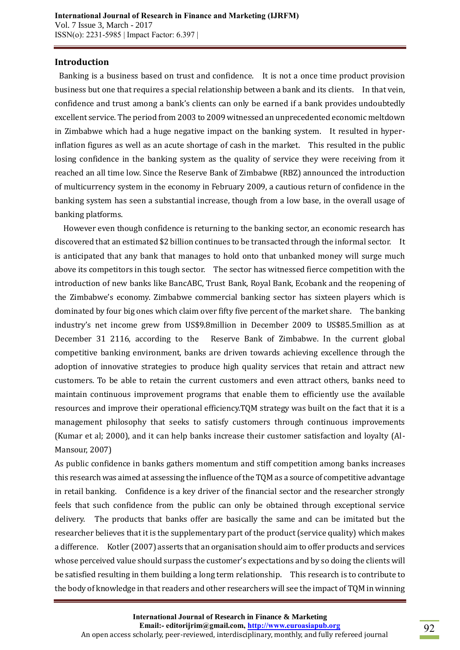#### **Introduction**

Banking is a business based on trust and confidence. It is not a once time product provision business but one that requires a special relationship between a bank and its clients. In that vein, confidence and trust among a bank's clients can only be earned if a bank provides undoubtedly excellent service. The period from 2003 to 2009 witnessed an unprecedented economic meltdown in Zimbabwe which had a huge negative impact on the banking system. It resulted in hyperinflation figures as well as an acute shortage of cash in the market. This resulted in the public losing confidence in the banking system as the quality of service they were receiving from it reached an all time low. Since the Reserve Bank of Zimbabwe (RBZ) announced the introduction of multicurrency system in the economy in February 2009, a cautious return of confidence in the banking system has seen a substantial increase, though from a low base, in the overall usage of banking platforms.

 However even though confidence is returning to the banking sector, an economic research has discovered that an estimated \$2 billion continues to be transacted through the informal sector. It is anticipated that any bank that manages to hold onto that unbanked money will surge much above its competitors in this tough sector. The sector has witnessed fierce competition with the introduction of new banks like BancABC, Trust Bank, Royal Bank, Ecobank and the reopening of the Zimbabwe's economy. Zimbabwe commercial banking sector has sixteen players which is dominated by four big ones which claim over fifty five percent of the market share. The banking industry's net income grew from US\$9.8million in December 2009 to US\$85.5million as at December 31 2116, according to the Reserve Bank of Zimbabwe. In the current global competitive banking environment, banks are driven towards achieving excellence through the adoption of innovative strategies to produce high quality services that retain and attract new customers. To be able to retain the current customers and even attract others, banks need to maintain continuous improvement programs that enable them to efficiently use the available resources and improve their operational efficiency.TQM strategy was built on the fact that it is a management philosophy that seeks to satisfy customers through continuous improvements (Kumar et al; 2000), and it can help banks increase their customer satisfaction and loyalty (Al-Mansour, 2007)

As public confidence in banks gathers momentum and stiff competition among banks increases this research was aimed at assessing the influence of the TQM as a source of competitive advantage in retail banking. Confidence is a key driver of the financial sector and the researcher strongly feels that such confidence from the public can only be obtained through exceptional service delivery. The products that banks offer are basically the same and can be imitated but the researcher believes that it is the supplementary part of the product (service quality) which makes a difference. Kotler (2007) asserts that an organisation should aim to offer products and services whose perceived value should surpass the customer's expectations and by so doing the clients will be satisfied resulting in them building a long term relationship. This research is to contribute to the body of knowledge in that readers and other researchers will see the impact of TQM in winning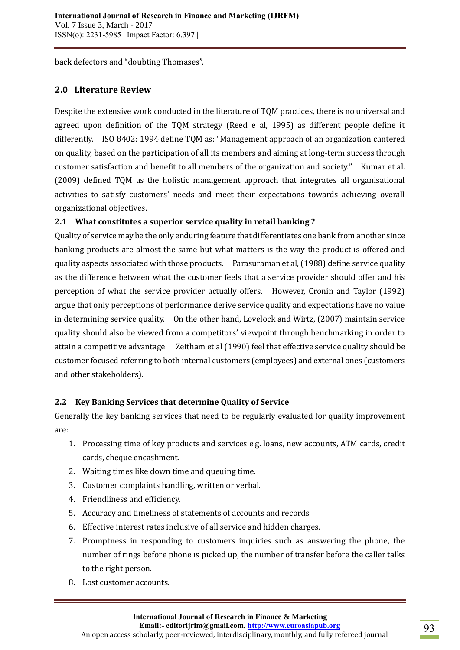back defectors and "doubting Thomases".

# **2.0 Literature Review**

Despite the extensive work conducted in the literature of TQM practices, there is no universal and agreed upon definition of the TQM strategy (Reed e al, 1995) as different people define it differently. ISO 8402: 1994 define TQM as: "Management approach of an organization cantered on quality, based on the participation of all its members and aiming at long-term success through customer satisfaction and benefit to all members of the organization and society." Kumar et al. (2009) defined TQM as the holistic management approach that integrates all organisational activities to satisfy customers' needs and meet their expectations towards achieving overall organizational objectives.

# **2.1 What constitutes a superior service quality in retail banking ?**

Quality of service may be the only enduring feature that differentiates one bank from another since banking products are almost the same but what matters is the way the product is offered and quality aspects associated with those products. Parasuraman et al, (1988) define service quality as the difference between what the customer feels that a service provider should offer and his perception of what the service provider actually offers. However, Cronin and Taylor (1992) argue that only perceptions of performance derive service quality and expectations have no value in determining service quality. On the other hand, Lovelock and Wirtz, (2007) maintain service quality should also be viewed from a competitors' viewpoint through benchmarking in order to attain a competitive advantage. Zeitham et al (1990) feel that effective service quality should be customer focused referring to both internal customers (employees) and external ones (customers and other stakeholders).

# **2.2 Key Banking Services that determine Quality of Service**

Generally the key banking services that need to be regularly evaluated for quality improvement are:

- 1. Processing time of key products and services e.g. loans, new accounts, ATM cards, credit cards, cheque encashment.
- 2. Waiting times like down time and queuing time.
- 3. Customer complaints handling, written or verbal.
- 4. Friendliness and efficiency.
- 5. Accuracy and timeliness of statements of accounts and records.
- 6. Effective interest rates inclusive of all service and hidden charges.
- 7. Promptness in responding to customers inquiries such as answering the phone, the number of rings before phone is picked up, the number of transfer before the caller talks to the right person.
- 8. Lost customer accounts.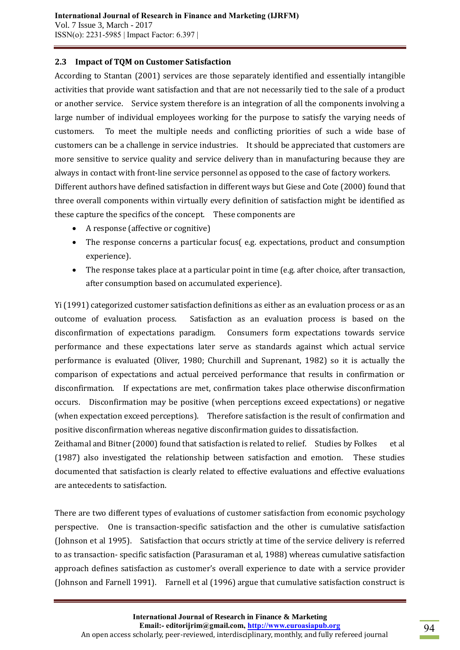### **2.3 Impact of TQM on Customer Satisfaction**

According to Stantan (2001) services are those separately identified and essentially intangible activities that provide want satisfaction and that are not necessarily tied to the sale of a product or another service. Service system therefore is an integration of all the components involving a large number of individual employees working for the purpose to satisfy the varying needs of customers. To meet the multiple needs and conflicting priorities of such a wide base of customers can be a challenge in service industries. It should be appreciated that customers are more sensitive to service quality and service delivery than in manufacturing because they are always in contact with front-line service personnel as opposed to the case of factory workers. Different authors have defined satisfaction in different ways but Giese and Cote (2000) found that three overall components within virtually every definition of satisfaction might be identified as

these capture the specifics of the concept. These components are

- A response (affective or cognitive)
- The response concerns a particular focus( e.g. expectations, product and consumption experience).
- The response takes place at a particular point in time (e.g. after choice, after transaction, after consumption based on accumulated experience).

Yi (1991) categorized customer satisfaction definitions as either as an evaluation process or as an outcome of evaluation process. Satisfaction as an evaluation process is based on the disconfirmation of expectations paradigm. Consumers form expectations towards service performance and these expectations later serve as standards against which actual service performance is evaluated (Oliver, 1980; Churchill and Suprenant, 1982) so it is actually the comparison of expectations and actual perceived performance that results in confirmation or disconfirmation. If expectations are met, confirmation takes place otherwise disconfirmation occurs. Disconfirmation may be positive (when perceptions exceed expectations) or negative (when expectation exceed perceptions). Therefore satisfaction is the result of confirmation and positive disconfirmation whereas negative disconfirmation guides to dissatisfaction.

Zeithamal and Bitner (2000) found that satisfaction is related to relief. Studies by Folkes et al (1987) also investigated the relationship between satisfaction and emotion. These studies documented that satisfaction is clearly related to effective evaluations and effective evaluations are antecedents to satisfaction.

There are two different types of evaluations of customer satisfaction from economic psychology perspective. One is transaction-specific satisfaction and the other is cumulative satisfaction (Johnson et al 1995). Satisfaction that occurs strictly at time of the service delivery is referred to as transaction- specific satisfaction (Parasuraman et al, 1988) whereas cumulative satisfaction approach defines satisfaction as customer's overall experience to date with a service provider (Johnson and Farnell 1991). Farnell et al (1996) argue that cumulative satisfaction construct is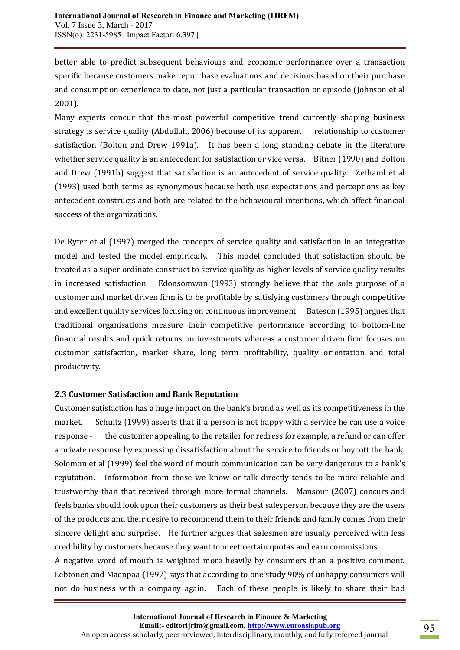better able to predict subsequent behaviours and economic performance over a transaction specific because customers make repurchase evaluations and decisions based on their purchase and consumption experience to date, not just a particular transaction or episode (Johnson et al 2001).

Many experts concur that the most powerful competitive trend currently shaping business strategy is service quality (Abdullah, 2006) because of its apparent relationship to customer satisfaction (Bolton and Drew 1991a). It has been a long standing debate in the literature whether service quality is an antecedent for satisfaction or vice versa. Bitner (1990) and Bolton and Drew (1991b) suggest that satisfaction is an antecedent of service quality. Zethaml et al (1993) used both terms as synonymous because both use expectations and perceptions as key antecedent constructs and both are related to the behavioural intentions, which affect financial success of the organizations.

De Ryter et al (1997) merged the concepts of service quality and satisfaction in an integrative model and tested the model empirically. This model concluded that satisfaction should be treated as a super ordinate construct to service quality as higher levels of service quality results in increased satisfaction. Edonsomwan (1993) strongly believe that the sole purpose of a customer and market driven firm is to be profitable by satisfying customers through competitive and excellent quality services focusing on continuous improvement. Bateson (1995) argues that traditional organisations measure their competitive performance according to bottom-line financial results and quick returns on investments whereas a customer driven firm focuses on customer satisfaction, market share, long term profitability, quality orientation and total productivity.

### **2.3 Customer Satisfaction and Bank Reputation**

Customer satisfaction has a huge impact on the bank's brand as well as its competitiveness in the market. Schultz (1999) asserts that if a person is not happy with a service he can use a voice response - the customer appealing to the retailer for redress for example, a refund or can offer a private response by expressing dissatisfaction about the service to friends or boycott the bank. Solomon et al (1999) feel the word of mouth communication can be very dangerous to a bank's reputation. Information from those we know or talk directly tends to be more reliable and trustworthy than that received through more formal channels. Mansour (2007) concurs and feels banks should look upon their customers as their best salesperson because they are the users of the products and their desire to recommend them to their friends and family comes from their sincere delight and surprise. He further argues that salesmen are usually perceived with less credibility by customers because they want to meet certain quotas and earn commissions.

A negative word of mouth is weighted more heavily by consumers than a positive comment. Lebtonen and Maenpaa (1997) says that according to one study 90% of unhappy consumers will not do business with a company again. Each of these people is likely to share their bad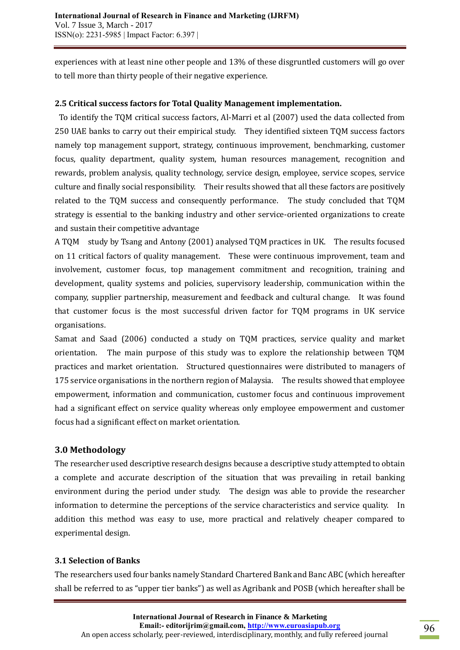experiences with at least nine other people and 13% of these disgruntled customers will go over to tell more than thirty people of their negative experience.

### **2.5 Critical success factors for Total Quality Management implementation.**

To identify the TQM critical success factors, Al-Marri et al (2007) used the data collected from 250 UAE banks to carry out their empirical study. They identified sixteen TQM success factors namely top management support, strategy, continuous improvement, benchmarking, customer focus, quality department, quality system, human resources management, recognition and rewards, problem analysis, quality technology, service design, employee, service scopes, service culture and finally social responsibility. Their results showed that all these factors are positively related to the TQM success and consequently performance. The study concluded that TQM strategy is essential to the banking industry and other service-oriented organizations to create and sustain their competitive advantage

A TQM study by Tsang and Antony (2001) analysed TQM practices in UK. The results focused on 11 critical factors of quality management. These were continuous improvement, team and involvement, customer focus, top management commitment and recognition, training and development, quality systems and policies, supervisory leadership, communication within the company, supplier partnership, measurement and feedback and cultural change. It was found that customer focus is the most successful driven factor for TQM programs in UK service organisations.

Samat and Saad (2006) conducted a study on TQM practices, service quality and market orientation. The main purpose of this study was to explore the relationship between TQM practices and market orientation. Structured questionnaires were distributed to managers of 175 service organisations in the northern region of Malaysia. The results showed that employee empowerment, information and communication, customer focus and continuous improvement had a significant effect on service quality whereas only employee empowerment and customer focus had a significant effect on market orientation.

# **3.0 Methodology**

The researcher used descriptive research designs because a descriptive study attempted to obtain a complete and accurate description of the situation that was prevailing in retail banking environment during the period under study. The design was able to provide the researcher information to determine the perceptions of the service characteristics and service quality. In addition this method was easy to use, more practical and relatively cheaper compared to experimental design.

# **3.1 Selection of Banks**

The researchers used four banks namely Standard Chartered Bank and Banc ABC (which hereafter shall be referred to as "upper tier banks") as well as Agribank and POSB (which hereafter shall be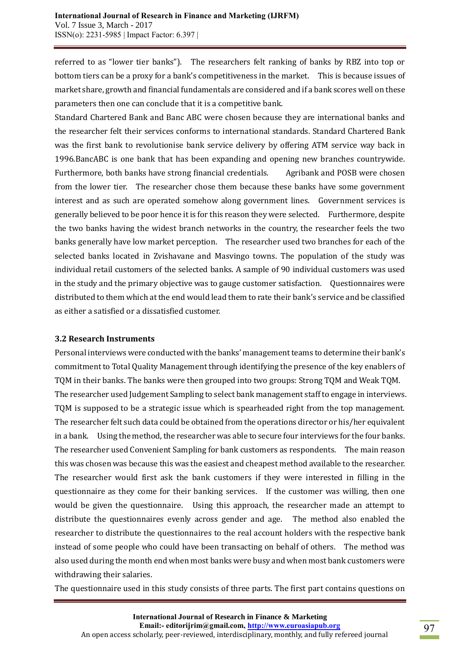referred to as "lower tier banks"). The researchers felt ranking of banks by RBZ into top or bottom tiers can be a proxy for a bank's competitiveness in the market. This is because issues of market share, growth and financial fundamentals are considered and if a bank scores well on these parameters then one can conclude that it is a competitive bank.

Standard Chartered Bank and Banc ABC were chosen because they are international banks and the researcher felt their services conforms to international standards. Standard Chartered Bank was the first bank to revolutionise bank service delivery by offering ATM service way back in 1996.BancABC is one bank that has been expanding and opening new branches countrywide. Furthermore, both banks have strong financial credentials. Agribank and POSB were chosen from the lower tier. The researcher chose them because these banks have some government interest and as such are operated somehow along government lines. Government services is generally believed to be poor hence it is for this reason they were selected. Furthermore, despite the two banks having the widest branch networks in the country, the researcher feels the two banks generally have low market perception. The researcher used two branches for each of the selected banks located in Zvishavane and Masvingo towns. The population of the study was individual retail customers of the selected banks. A sample of 90 individual customers was used in the study and the primary objective was to gauge customer satisfaction. Questionnaires were distributed to them which at the end would lead them to rate their bank's service and be classified as either a satisfied or a dissatisfied customer.

### **3.2 Research Instruments**

Personal interviews were conducted with the banks' management teams to determine their bank's commitment to Total Quality Management through identifying the presence of the key enablers of TQM in their banks. The banks were then grouped into two groups: Strong TQM and Weak TQM. The researcher used Judgement Sampling to select bank management staff to engage in interviews. TQM is supposed to be a strategic issue which is spearheaded right from the top management. The researcher felt such data could be obtained from the operations director or his/her equivalent in a bank. Using the method, the researcher was able to secure four interviews for the four banks. The researcher used Convenient Sampling for bank customers as respondents. The main reason this was chosen was because this was the easiest and cheapest method available to the researcher. The researcher would first ask the bank customers if they were interested in filling in the questionnaire as they come for their banking services. If the customer was willing, then one would be given the questionnaire. Using this approach, the researcher made an attempt to distribute the questionnaires evenly across gender and age. The method also enabled the researcher to distribute the questionnaires to the real account holders with the respective bank instead of some people who could have been transacting on behalf of others. The method was also used during the month end when most banks were busy and when most bank customers were withdrawing their salaries.

The questionnaire used in this study consists of three parts. The first part contains questions on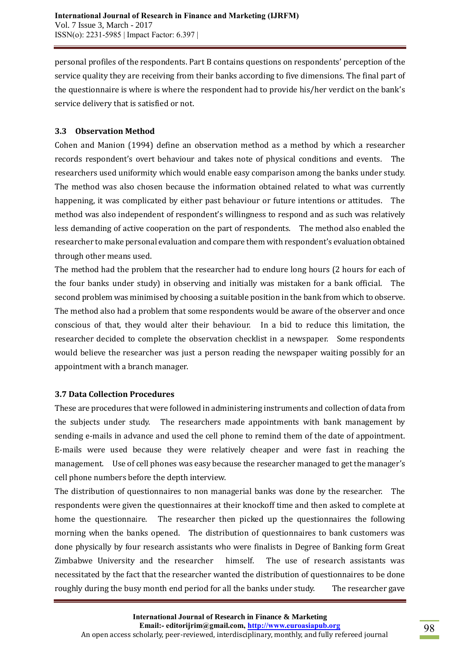personal profiles of the respondents. Part B contains questions on respondents' perception of the service quality they are receiving from their banks according to five dimensions. The final part of the questionnaire is where is where the respondent had to provide his/her verdict on the bank's service delivery that is satisfied or not.

# **3.3 Observation Method**

Cohen and Manion (1994) define an observation method as a method by which a researcher records respondent's overt behaviour and takes note of physical conditions and events. The researchers used uniformity which would enable easy comparison among the banks under study. The method was also chosen because the information obtained related to what was currently happening, it was complicated by either past behaviour or future intentions or attitudes. The method was also independent of respondent's willingness to respond and as such was relatively less demanding of active cooperation on the part of respondents. The method also enabled the researcher to make personal evaluation and compare them with respondent's evaluation obtained through other means used.

The method had the problem that the researcher had to endure long hours (2 hours for each of the four banks under study) in observing and initially was mistaken for a bank official. The second problem was minimised by choosing a suitable position in the bank from which to observe. The method also had a problem that some respondents would be aware of the observer and once conscious of that, they would alter their behaviour. In a bid to reduce this limitation, the researcher decided to complete the observation checklist in a newspaper. Some respondents would believe the researcher was just a person reading the newspaper waiting possibly for an appointment with a branch manager.

### **3.7 Data Collection Procedures**

These are procedures that were followed in administering instruments and collection of data from the subjects under study. The researchers made appointments with bank management by sending e-mails in advance and used the cell phone to remind them of the date of appointment. E-mails were used because they were relatively cheaper and were fast in reaching the management. Use of cell phones was easy because the researcher managed to get the manager's cell phone numbers before the depth interview.

The distribution of questionnaires to non managerial banks was done by the researcher. The respondents were given the questionnaires at their knockoff time and then asked to complete at home the questionnaire. The researcher then picked up the questionnaires the following morning when the banks opened. The distribution of questionnaires to bank customers was done physically by four research assistants who were finalists in Degree of Banking form Great Zimbabwe University and the researcher himself. The use of research assistants was necessitated by the fact that the researcher wanted the distribution of questionnaires to be done roughly during the busy month end period for all the banks under study. The researcher gave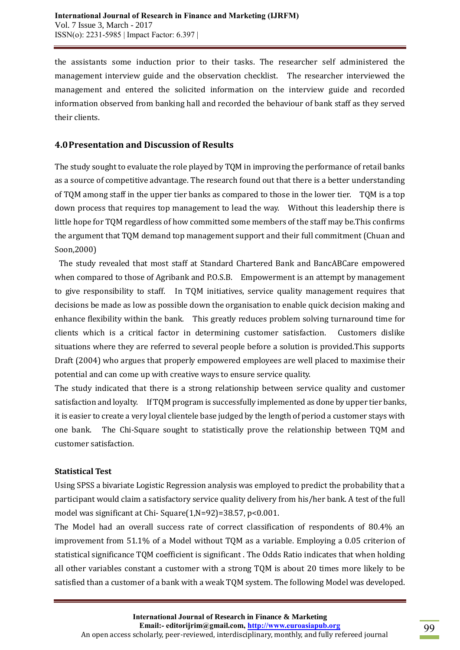the assistants some induction prior to their tasks. The researcher self administered the management interview guide and the observation checklist. The researcher interviewed the management and entered the solicited information on the interview guide and recorded information observed from banking hall and recorded the behaviour of bank staff as they served their clients.

# **4.0Presentation and Discussion of Results**

The study sought to evaluate the role played by TQM in improving the performance of retail banks as a source of competitive advantage. The research found out that there is a better understanding of TQM among staff in the upper tier banks as compared to those in the lower tier. TQM is a top down process that requires top management to lead the way. Without this leadership there is little hope for TQM regardless of how committed some members of the staff may be.This confirms the argument that TQM demand top management support and their full commitment (Chuan and Soon,2000)

The study revealed that most staff at Standard Chartered Bank and BancABCare empowered when compared to those of Agribank and P.O.S.B. Empowerment is an attempt by management to give responsibility to staff. In TQM initiatives, service quality management requires that decisions be made as low as possible down the organisation to enable quick decision making and enhance flexibility within the bank. This greatly reduces problem solving turnaround time for clients which is a critical factor in determining customer satisfaction. Customers dislike situations where they are referred to several people before a solution is provided.This supports Draft (2004) who argues that properly empowered employees are well placed to maximise their potential and can come up with creative ways to ensure service quality.

The study indicated that there is a strong relationship between service quality and customer satisfaction and loyalty. If TQM program is successfully implemented as done by upper tier banks, it is easier to create a very loyal clientele base judged by the length of period a customer stays with one bank. The Chi-Square sought to statistically prove the relationship between TQM and customer satisfaction.

### **Statistical Test**

Using SPSS a bivariate Logistic Regression analysis was employed to predict the probability that a participant would claim a satisfactory service quality delivery from his/her bank. A test of the full model was significant at Chi- Square(1,N=92)=38.57, p<0.001.

The Model had an overall success rate of correct classification of respondents of 80.4% an improvement from 51.1% of a Model without TQM as a variable. Employing a 0.05 criterion of statistical significance TQM coefficient is significant . The Odds Ratio indicates that when holding all other variables constant a customer with a strong TQM is about 20 times more likely to be satisfied than a customer of a bank with a weak TQM system. The following Model was developed.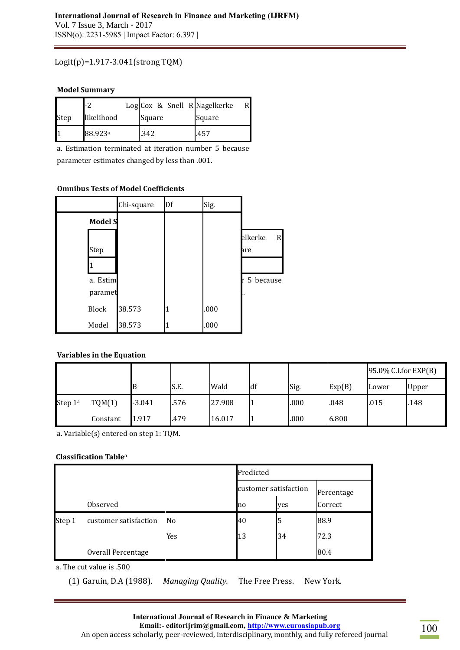#### **International Journal of Research in Finance and Marketing (IJRFM)**  Vol. 7 Issue 3, March - 2017 ISSN(o): 2231-5985 | Impact Factor: 6.397 |

### Logit(p)=1.917-3.041(strong TQM)

#### **Model Summary**

|      | -2                  |        |  | Log Cox & Snell R Nagelkerke |  |
|------|---------------------|--------|--|------------------------------|--|
| Step | likelihood          | Square |  | Square                       |  |
| I,   | 88.923 <sup>a</sup> | .342   |  | .457                         |  |

a. Estimation terminated at iteration number 5 because parameter estimates changed by less than .001.

#### **Omnibus Tests of Model Coefficients**

|                | Chi-square | Df | Sig. |              |
|----------------|------------|----|------|--------------|
| <b>Model S</b> |            |    |      |              |
|                |            |    |      | elkerke<br>R |
| Step           |            |    |      | are          |
|                |            |    |      |              |
| a. Estim       |            |    |      | r 5 because  |
| paramet        |            |    |      |              |
| <b>Block</b>   | 38.573     |    | .000 |              |
| Model          | 38.573     |    | .000 |              |

### **Variables in the Equation**

|                     |          |          |      |        |    |      |        | $95.0\%$ C.I.for EXP(B) |       |
|---------------------|----------|----------|------|--------|----|------|--------|-------------------------|-------|
|                     |          |          | S.E. | Wald   | df | Sig. | Exp(B) | Lower                   | Upper |
| Step 1 <sup>a</sup> | TQM(1)   | $-3.041$ | .576 | 27.908 |    | .000 | .048   | .015                    | .148  |
|                     | Constant | 1.917    | 479  | 16.017 |    | .000 | 6.800  |                         |       |

a. Variable(s) entered on step 1: TQM.

#### **Classification Table<sup>a</sup>**

|          |                       |     | Predicted             |     |            |  |
|----------|-----------------------|-----|-----------------------|-----|------------|--|
|          |                       |     | customer satisfaction |     | Percentage |  |
| Observed |                       |     | no                    | yes | Correct    |  |
| Step 1   | customer satisfaction | No  | 40                    | 5   | 88.9       |  |
|          |                       | Yes | 13                    | 34  | 72.3       |  |
|          | Overall Percentage    |     |                       |     | 80.4       |  |

a. The cut value is .500

(1) Garuin, D.A (1988). *Managing Quality.* The Free Press. New York.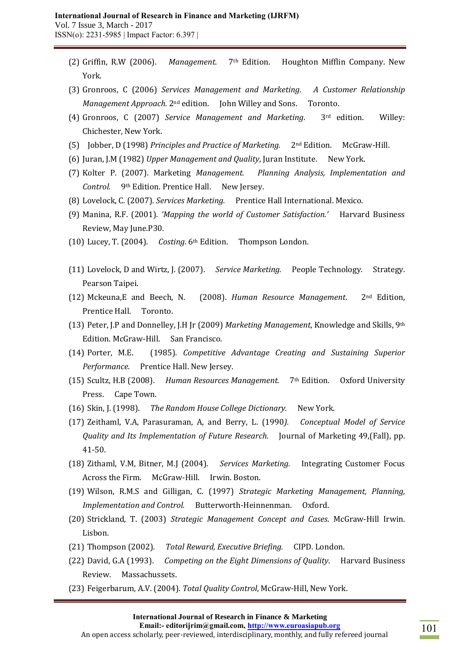- (2) Griffin, R.W (2006). *Management*. 7th Edition. Houghton Mifflin Company. New York.
- (3) Gronroos, C (2006) *Services Management and Marketing. A Customer Relationship Management Approach.* 2nd edition. John Willey and Sons. Toronto.
- (4) Gronroos, C (2007) *Service Management and Marketing*. 3rd edition. Willey: Chichester, New York.
- (5) Jobber, D (1998) *Principles and Practice of Marketing.* 2nd Edition. McGraw-Hill.
- (6) Juran, J.M (1982) *Upper Management and Quality*, Juran Institute. New York.
- (7) Kolter P. (2007). Marketing *Management. Planning Analysis, Implementation and Control.* 9th Edition. Prentice Hall. New Jersey.
- (8) Lovelock, C. (2007). *Services Marketing.* Prentice Hall International. Mexico.
- (9) Manina, R.F. (2001). *'Mapping the world of Customer Satisfaction.'* Harvard Business Review, May June.P30.
- (10) Lucey, T. (2004). *Costing*. 6th Edition. Thompson London.
- (11) Lovelock, D and Wirtz, J. (2007). *Service Marketing.* People Technology. Strategy. Pearson Taipei.
- (12) Mckeuna,E and Beech, N. (2008). *Human Resource Management*. 2nd Edition, Prentice Hall. Toronto.
- (13) Peter, J.P and Donnelley, J.H Jr (2009) *Marketing Management*, Knowledge and Skills, 9th Edition. McGraw-Hill. San Francisco.
- (14) Porter, M.E. (1985). *Competitive Advantage Creating and Sustaining Superior Performance.* Prentice Hall. New Jersey.
- (15) Scultz, H.B (2008). *Human Resources Management.* 7th Edition. Oxford University Press. Cape Town.
- (16) Skin, J. (1998). *The Random House College Dictionary.* New York.
- (17) Zeithaml, V.A, Parasuraman, A, and Berry, L. (1990*). Conceptual Model of Service Quality and Its Implementation of Future Research.* Journal of Marketing 49,(Fall), pp. 41-50.
- (18) Zithaml, V.M, Bitner, M.J (2004). *Services Marketing.* Integrating Customer Focus Across the Firm. McGraw-Hill. Irwin. Boston.
- (19) Wilson, R.M.S and Gilligan, C. (1997) *Strategic Marketing Management, Planning, Implementation and Control.* Butterworth-Heinnenman. Oxford.
- (20) Strickland, T. (2003) *Strategic Management Concept and Cases*. McGraw-Hill Irwin. Lisbon.
- (21) Thompson (2002). *Total Reward, Executive Briefing.* CIPD. London.
- (22) David, G.A (1993). *Competing on the Eight Dimensions of Quality*. Harvard Business Review. Massachussets.
- (23) Feigerbarum, A.V. (2004). *Total Quality Control*, McGraw-Hill, New York.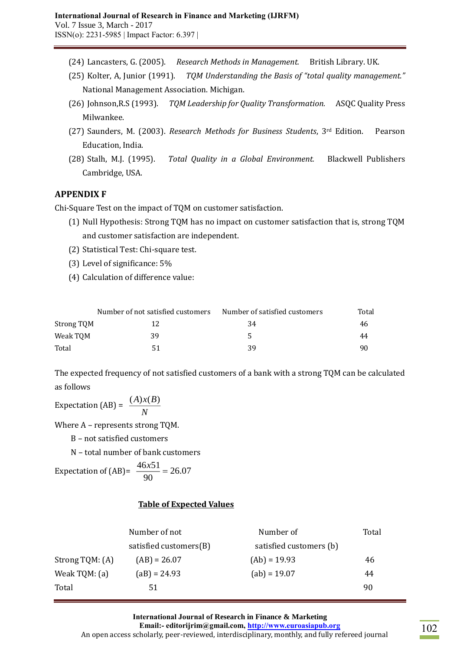- (24) Lancasters, G. (2005). *Research Methods in Management.* British Library. UK.
- (25) Kolter, A, Junior (1991). *TQM Understanding the Basis of "total quality management."* National Management Association. Michigan.
- (26) Johnson,R.S (1993). *TQM Leadership for Quality Transformation.* ASQC Quality Press Milwankee.
- (27) Saunders, M. (2003). *Research Methods for Business Students*, 3rd Edition. Pearson Education, India.
- (28) Stalh, M.J. (1995). *Total Quality in a Global Environment.* Blackwell Publishers Cambridge, USA.

# **APPENDIX F**

Chi-Square Test on the impact of TQM on customer satisfaction.

- (1) Null Hypothesis: Strong TQM has no impact on customer satisfaction that is, strong TQM and customer satisfaction are independent.
- (2) Statistical Test: Chi-square test.
- (3) Level of significance: 5%
- (4) Calculation of difference value:

|            | Number of not satisfied customers | Number of satisfied customers | Total |
|------------|-----------------------------------|-------------------------------|-------|
| Strong TQM | 12                                | 34                            | 46.   |
| Weak TOM   | 39                                |                               | 44    |
| Total      | -51                               | 39                            | 90    |

The expected frequency of not satisfied customers of a bank with a strong TQM can be calculated as follows

Expectation (AB) =  $\frac{(11) \lambda}{N}$ (*A*)*x*(*B*)

Where A – represents strong TQM.

B – not satisfied customers

N – total number of bank customers

Expectation of (AB) = 
$$
\frac{46x51}{90} = 26.07
$$

# **Table of Expected Values**

|                 | Number of not          | Number of               | Total |
|-----------------|------------------------|-------------------------|-------|
|                 | satisfied customers(B) | satisfied customers (b) |       |
| Strong TQM: (A) | $(AB) = 26.07$         | $(Ab) = 19.93$          | 46    |
| Weak TQM: (a)   | $(aB) = 24.93$         | $(ab) = 19.07$          | 44    |
| Total           | 51                     |                         | 90    |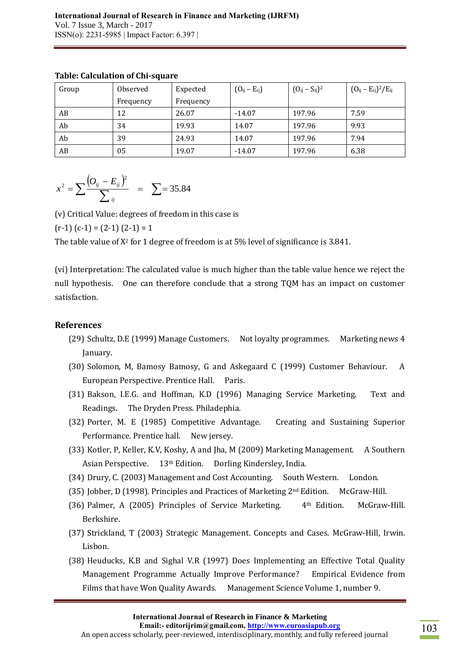| Group | Observed  | Expected  | $(O_{ij} - E_{ij})$ | $(O_{ij} - S_{ij})^2$ | $(O_{ij} - E_{ij})^2 / E_{ij}$ |
|-------|-----------|-----------|---------------------|-----------------------|--------------------------------|
|       | Frequency | Frequency |                     |                       |                                |
| AB    | 12        | 26.07     | $-14.07$            | 197.96                | 7.59                           |
| Ab    | 34        | 19.93     | 14.07               | 197.96                | 9.93                           |
| Ab    | 39        | 24.93     | 14.07               | 197.96                | 7.94                           |
| AB    | 05        | 19.07     | $-14.07$            | 197.96                | 6.38                           |

### **Table: Calculation of Chi-square**

$$
x^{2} = \sum \frac{(O_{ij} - E_{ij})^{2}}{\sum_{ij}} = \sum = 35.84
$$

(v) Critical Value: degrees of freedom in this case is

 $(r-1)$   $(c-1) = (2-1) (2-1) = 1$ 

The table value of  $X^2$  for 1 degree of freedom is at 5% level of significance is 3.841.

(vi) Interpretation: The calculated value is much higher than the table value hence we reject the null hypothesis. One can therefore conclude that a strong TQM has an impact on customer satisfaction.

### **References**

- (29) Schultz, D.E (1999) Manage Customers. Not loyalty programmes. Marketing news 4 January.
- (30) Solomon, M, Bamosy Bamosy, G and Askegaard C (1999) Customer Behaviour. A European Perspective. Prentice Hall. Paris.
- (31) Bakson, I.E.G. and Hoffman, K.D (1996) Managing Service Marketing. Text and Readings. The Dryden Press. Philadephia.
- (32) Porter, M. E (1985) Competitive Advantage. Creating and Sustaining Superior Performance. Prentice hall. New jersey.
- (33) Kotler, P, Keller, K.V, Koshy, A and Jha, M (2009) Marketing Management. A Southern Asian Perspective. 13th Edition. Dorling Kindersley, India.
- (34) Drury, C. (2003) Management and Cost Accounting. South Western. London.
- (35) Jobber, D (1998). Principles and Practices of Marketing 2nd Edition. McGraw-Hill.
- (36) Palmer, A (2005) Principles of Service Marketing. 4th Edition. McGraw-Hill. Berkshire.
- (37) Strickland, T (2003) Strategic Management. Concepts and Cases. McGraw-Hill, Irwin. Lisbon.
- (38) Heuducks, K.B and Sighal V.R (1997) Does Implementing an Effective Total Quality Management Programme Actually Improve Performance? Empirical Evidence from Films that have Won Quality Awards. Management Science Volume 1, number 9.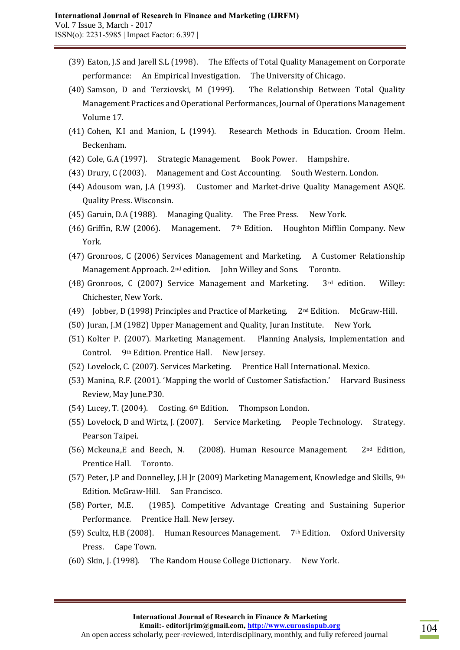- (39) Eaton, J.S and Jarell S.L (1998). The Effects of Total Quality Management on Corporate performance: An Empirical Investigation. The University of Chicago.
- (40) Samson, D and Terziovski, M (1999). The Relationship Between Total Quality Management Practices and Operational Performances, Journal of Operations Management Volume 17.
- (41) Cohen, K.I and Manion, L (1994). Research Methods in Education. Croom Helm. Beckenham.
- (42) Cole, G.A (1997). Strategic Management. Book Power. Hampshire.
- (43) Drury, C (2003). Management and Cost Accounting. South Western. London.
- (44) Adousom wan, J.A (1993). Customer and Market-drive Quality Management ASQE. Quality Press. Wisconsin.
- (45) Garuin, D.A (1988). Managing Quality. The Free Press. New York.
- (46) Griffin, R.W (2006). Management.  $7<sup>th</sup>$  Edition. Houghton Mifflin Company. New York.
- (47) Gronroos, C (2006) Services Management and Marketing. A Customer Relationship Management Approach. 2<sup>nd</sup> edition. John Willey and Sons. Toronto.
- (48) Gronroos, C (2007) Service Management and Marketing. 3rd edition. Willey: Chichester, New York.
- (49) Jobber, D (1998) Principles and Practice of Marketing. 2nd Edition. McGraw-Hill.
- (50) Juran, J.M (1982) Upper Management and Quality, Juran Institute. New York.
- (51) Kolter P. (2007). Marketing Management. Planning Analysis, Implementation and Control. 9th Edition. Prentice Hall. New Jersey.
- (52) Lovelock, C. (2007). Services Marketing. Prentice Hall International. Mexico.
- (53) Manina, R.F. (2001). 'Mapping the world of Customer Satisfaction.' Harvard Business Review, May June.P30.
- (54) Lucey, T. (2004). Costing. 6th Edition. Thompson London.
- (55) Lovelock, D and Wirtz, J. (2007). Service Marketing. People Technology. Strategy. Pearson Taipei.
- (56) Mckeuna,E and Beech, N. (2008). Human Resource Management. 2nd Edition, Prentice Hall. Toronto.
- (57) Peter, J.P and Donnelley, J.H Jr (2009) Marketing Management, Knowledge and Skills,  $9<sup>th</sup>$ Edition. McGraw-Hill. San Francisco.
- (58) Porter, M.E. (1985). Competitive Advantage Creating and Sustaining Superior Performance. Prentice Hall. New Jersey.
- (59) Scultz, H.B (2008). Human Resources Management. 7th Edition. Oxford University Press. Cape Town.
- (60) Skin, J. (1998). The Random House College Dictionary. New York.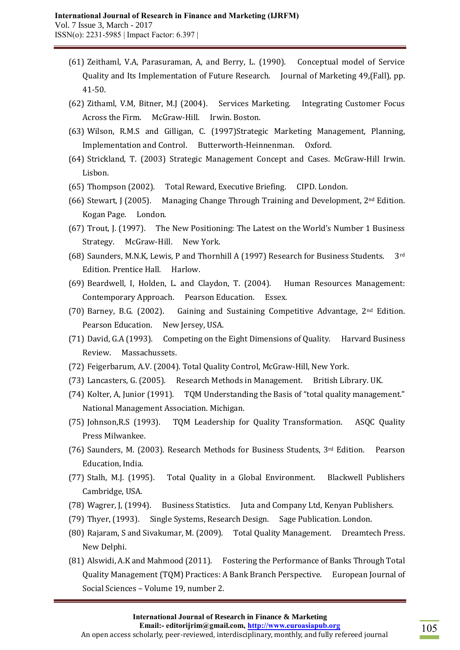- (61) Zeithaml, V.A, Parasuraman, A, and Berry, L. (1990). Conceptual model of Service Quality and Its Implementation of Future Research. Journal of Marketing 49,(Fall), pp. 41-50.
- (62) Zithaml, V.M, Bitner, M.J (2004). Services Marketing. Integrating Customer Focus Across the Firm. McGraw-Hill. Irwin. Boston.
- (63) Wilson, R.M.S and Gilligan, C. (1997)Strategic Marketing Management, Planning, Implementation and Control. Butterworth-Heinnenman. Oxford.
- (64) Strickland, T. (2003) Strategic Management Concept and Cases. McGraw-Hill Irwin. Lisbon.
- (65) Thompson (2002). Total Reward, Executive Briefing. CIPD. London.
- (66) Stewart, J (2005). Managing Change Through Training and Development,  $2^{nd}$  Edition. Kogan Page. London.
- (67) Trout, J. (1997). The New Positioning: The Latest on the World's Number 1 Business Strategy. McGraw-Hill. New York.
- (68) Saunders, M.N.K, Lewis, P and Thornhill A (1997) Research for Business Students. 3rd Edition. Prentice Hall. Harlow.
- (69) Beardwell, I, Holden, L. and Claydon, T. (2004). Human Resources Management: Contemporary Approach. Pearson Education. Essex.
- (70) Barney, B.G. (2002). Gaining and Sustaining Competitive Advantage, 2nd Edition. Pearson Education. New Jersey, USA.
- (71) David, G.A (1993). Competing on the Eight Dimensions of Quality. Harvard Business Review. Massachussets.
- (72) Feigerbarum, A.V. (2004). Total Quality Control, McGraw-Hill, New York.
- (73) Lancasters, G. (2005). Research Methods in Management. British Library. UK.
- (74) Kolter, A, Junior (1991). TQM Understanding the Basis of "total quality management." National Management Association. Michigan.
- (75) Johnson,R.S (1993). TQM Leadership for Quality Transformation. ASQC Quality Press Milwankee.
- (76) Saunders, M. (2003). Research Methods for Business Students, 3rd Edition. Pearson Education, India.
- (77) Stalh, M.J. (1995). Total Quality in a Global Environment. Blackwell Publishers Cambridge, USA.
- (78) Wagrer, J, (1994). Business Statistics. Juta and Company Ltd, Kenyan Publishers.
- (79) Thyer, (1993). Single Systems, Research Design. Sage Publication. London.
- (80) Rajaram, S and Sivakumar, M. (2009). Total Quality Management. Dreamtech Press. New Delphi.
- (81) Alswidi, A.K and Mahmood (2011). Fostering the Performance of Banks Through Total Quality Management (TQM) Practices: A Bank Branch Perspective. European Journal of Social Sciences – Volume 19, number 2.